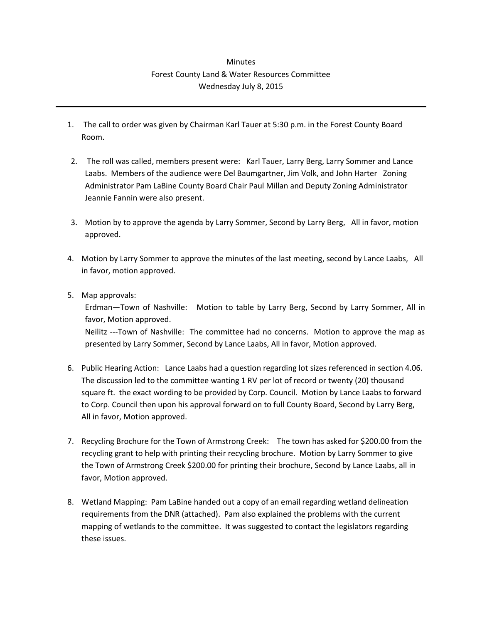## **Minutes** Forest County Land & Water Resources Committee Wednesday July 8, 2015

- 1. The call to order was given by Chairman Karl Tauer at 5:30 p.m. in the Forest County Board Room.
- 2. The roll was called, members present were: Karl Tauer, Larry Berg, Larry Sommer and Lance Laabs. Members of the audience were Del Baumgartner, Jim Volk, and John Harter Zoning Administrator Pam LaBine County Board Chair Paul Millan and Deputy Zoning Administrator Jeannie Fannin were also present.
- 3. Motion by to approve the agenda by Larry Sommer, Second by Larry Berg, All in favor, motion approved.
- 4. Motion by Larry Sommer to approve the minutes of the last meeting, second by Lance Laabs, All in favor, motion approved.
- 5. Map approvals:

Erdman—Town of Nashville: Motion to table by Larry Berg, Second by Larry Sommer, All in favor, Motion approved.

Neilitz ---Town of Nashville: The committee had no concerns. Motion to approve the map as presented by Larry Sommer, Second by Lance Laabs, All in favor, Motion approved.

- 6. Public Hearing Action: Lance Laabs had a question regarding lot sizes referenced in section 4.06. The discussion led to the committee wanting 1 RV per lot of record or twenty (20) thousand square ft. the exact wording to be provided by Corp. Council. Motion by Lance Laabs to forward to Corp. Council then upon his approval forward on to full County Board, Second by Larry Berg, All in favor, Motion approved.
- 7. Recycling Brochure for the Town of Armstrong Creek: The town has asked for \$200.00 from the recycling grant to help with printing their recycling brochure. Motion by Larry Sommer to give the Town of Armstrong Creek \$200.00 for printing their brochure, Second by Lance Laabs, all in favor, Motion approved.
- 8. Wetland Mapping: Pam LaBine handed out a copy of an email regarding wetland delineation requirements from the DNR (attached). Pam also explained the problems with the current mapping of wetlands to the committee. It was suggested to contact the legislators regarding these issues.